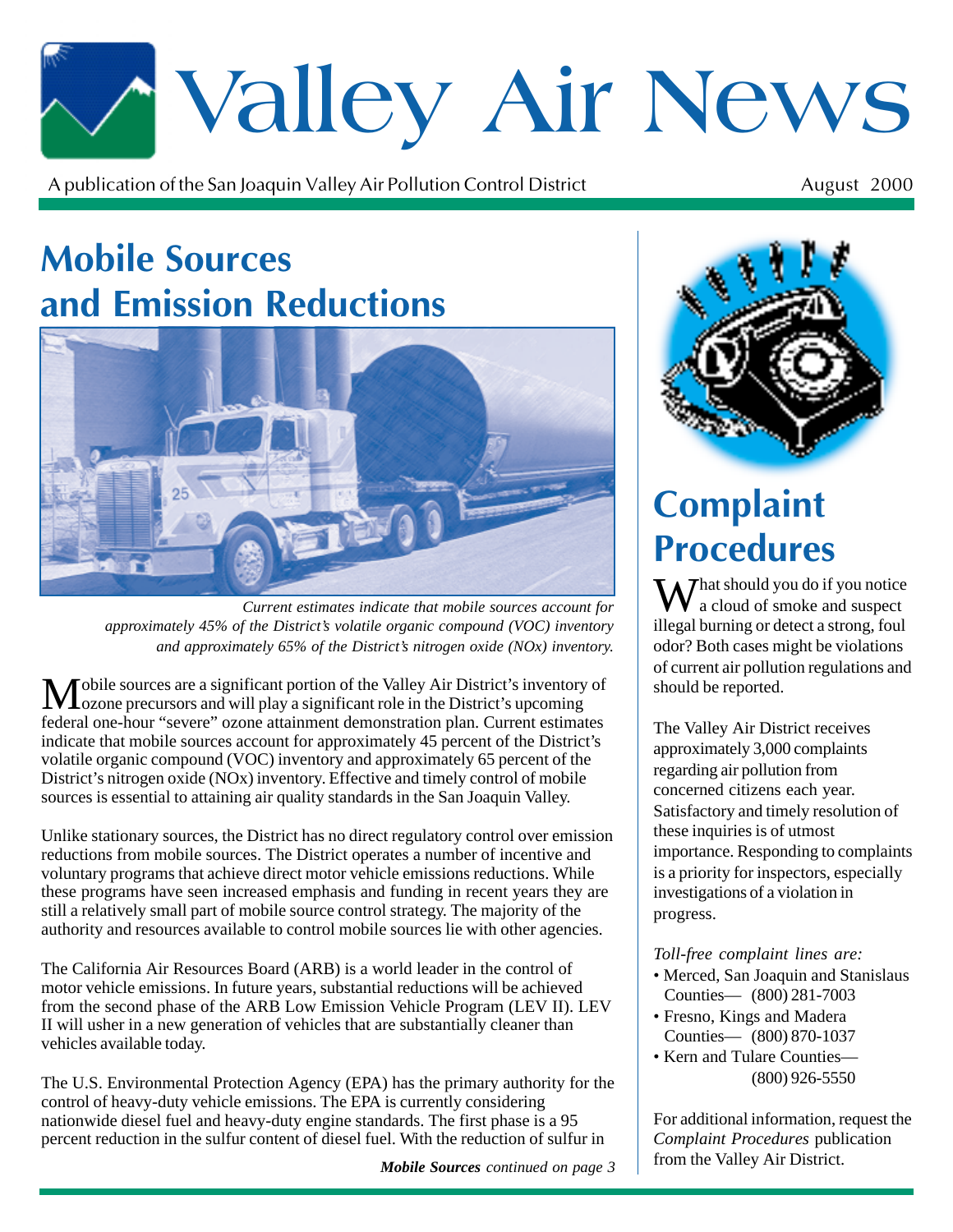# \*Valley Air News

A publication of the San Joaquin Valley Air Pollution Control District  $\mathbf t$  August 2000

#### **Mobile Sources** <u>and Emission Reductions</u>



*Current estimates indicate that mobile sources account for approximately 45% of the District's volatile organic compound (VOC) inventory and approximately 65% of the District's nitrogen oxide (NOx) inventory.*

Mobile sources are a significant portion of the Valley Air District's inventory of ozone precursors and will play a significant role in the District's upcoming federal one-hour "severe" ozone attainment demonstration plan. Current estimates indicate that mobile sources account for approximately 45 percent of the District's volatile organic compound (VOC) inventory and approximately 65 percent of the District's nitrogen oxide (NOx) inventory. Effective and timely control of mobile sources is essential to attaining air quality standards in the San Joaquin Valley.

Unlike stationary sources, the District has no direct regulatory control over emission reductions from mobile sources. The District operates a number of incentive and voluntary programs that achieve direct motor vehicle emissions reductions. While these programs have seen increased emphasis and funding in recent years they are still a relatively small part of mobile source control strategy. The majority of the authority and resources available to control mobile sources lie with other agencies.

The California Air Resources Board (ARB) is a world leader in the control of motor vehicle emissions. In future years, substantial reductions will be achieved from the second phase of the ARB Low Emission Vehicle Program (LEV II). LEV II will usher in a new generation of vehicles that are substantially cleaner than vehicles available today.

The U.S. Environmental Protection Agency (EPA) has the primary authority for the control of heavy-duty vehicle emissions. The EPA is currently considering nationwide diesel fuel and heavy-duty engine standards. The first phase is a 95 percent reduction in the sulfur content of diesel fuel. With the reduction of sulfur in

*Mobile Sources continued on page 3*



### **Complaint Procedures**

M / hat should you do if you notice a cloud of smoke and suspect illegal burning or detect a strong, foul odor? Both cases might be violations of current air pollution regulations and should be reported.

The Valley Air District receives approximately 3,000 complaints regarding air pollution from concerned citizens each year. Satisfactory and timely resolution of these inquiries is of utmost importance. Responding to complaints is a priority for inspectors, especially investigations of a violation in progress.

*Toll-free complaint lines are:*

- Merced, San Joaquin and Stanislaus Counties— (800) 281-7003
- Fresno, Kings and Madera Counties— (800) 870-1037
- Kern and Tulare Counties— (800) 926-5550

For additional information, request the *Complaint Procedures* publication from the Valley Air District.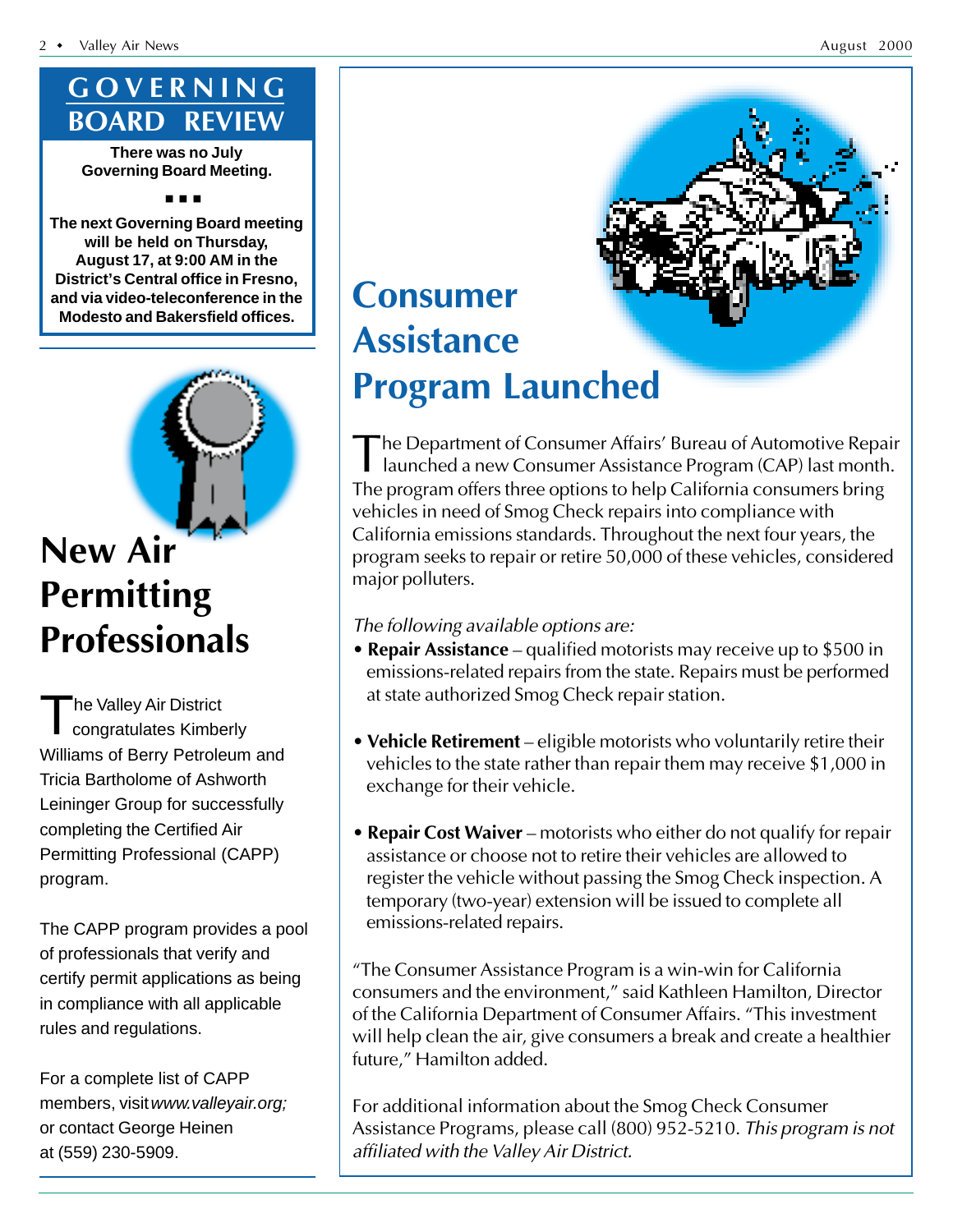#### GOVERNING **BOARD REVIEW**

**There was no July Governing Board Meeting.**

■ ■ ■

**The next Governing Board meeting will be held on Thursday, August 17, at 9:00 AM in the District's Central office in Fresno, and via video-teleconference in the Modesto and Bakersfield offices.**



#### **New Air** Permitting **Professionals**

The Valley Air District congratulates Kimberly Williams of Berry Petroleum and Tricia Bartholome of Ashworth Leininger Group for successfully completing the Certified Air Permitting Professional (CAPP) program.

The CAPP program provides a pool of professionals that verify and certify permit applications as being in compliance with all applicable rules and regulations.

For a complete list of CAPP members, visit www.valleyair.org; or contact George Heinen at (559) 230-5909.

## **Consumer Assistance Program Launched**

The Department of Consumer Affairs' Bureau of Automotive Repair<br>launched a new Consumer Assistance Program (CAP) last month. Department of Consumer Affairs' Bureau of Automotive Repair The program offers three options to help California consumers bring vehicles in need of Smog Check repairs into compliance with California emissions standards. Throughout the next four years, the program seeks to repair or retire 50,000 of these vehicles, considered major polluters.

#### The following available options are:

- Repair Assistance qualified motorists may receive up to  $$500$  in emissions-related repairs from the state. Repairs must be performed at state authorized Smog Check repair station.
- $\bullet$  Vehicle Retirement eligible motorists who voluntarily retire their vehicles to the state rather than repair them may receive \$1,000 in exchange for their vehicle.
- Repair Cost Waiver motorists who either do not qualify for repair assistance or choose not to retire their vehicles are allowed to register the vehicle without passing the Smog Check inspection. A temporary (two-year) extension will be issued to complete all emissions-related repairs.

"The Consumer Assistance Program is a win-win for California consumers and the environment," said Kathleen Hamilton, Director of the California Department of Consumer Affairs. "This investment will help clean the air, give consumers a break and create a healthier future," Hamilton added.

For additional information about the Smog Check Consumer Assistance Programs, please call (800) 952-5210. *This program is not* affiliated with the Valley Air District.